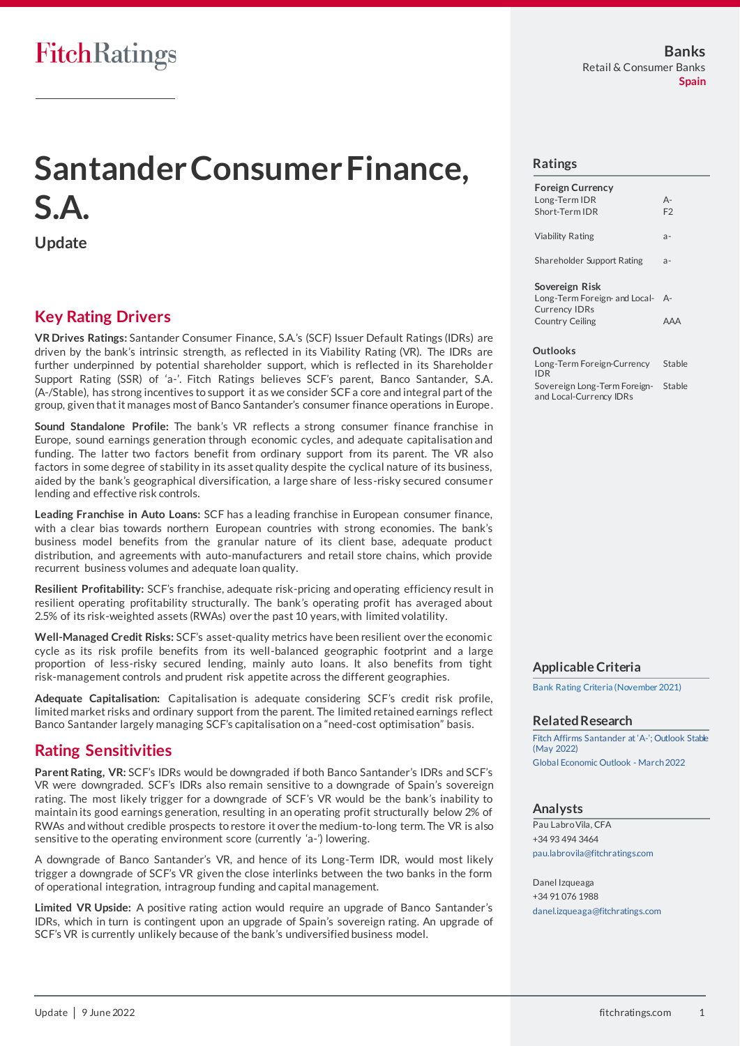# **Santander Consumer Finance, S.A.**

**Update**

## **Key Rating Drivers**

**VR Drives Ratings:** Santander Consumer Finance, S.A.'s (SCF) Issuer Default Ratings (IDRs) are driven by the bank's intrinsic strength, as reflected in its Viability Rating (VR). The IDRs are further underpinned by potential shareholder support, which is reflected in its Shareholder Support Rating (SSR) of 'a-'. Fitch Ratings believes SCF's parent, Banco Santander, S.A. (A-/Stable), has strong incentives to support it as we consider SCF a core and integral part of the group, given that it manages most of Banco Santander's consumer finance operations in Europe.

**Sound Standalone Profile:** The bank's VR reflects a strong consumer finance franchise in Europe, sound earnings generation through economic cycles, and adequate capitalisation and funding. The latter two factors benefit from ordinary support from its parent. The VR also factors in some degree of stability in its asset quality despite the cyclical nature of its business, aided by the bank's geographical diversification, a large share of less-risky secured consume r lending and effective risk controls.

**Leading Franchise in Auto Loans:** SCF has a leading franchise in European consumer finance, with a clear bias towards northern European countries with strong economies. The bank's business model benefits from the granular nature of its client base, adequate product distribution, and agreements with auto-manufacturers and retail store chains, which provide recurrent business volumes and adequate loan quality.

**Resilient Profitability:** SCF's franchise, adequate risk-pricing and operating efficiency result in resilient operating profitability structurally. The bank's operating profit has averaged about 2.5% of its risk-weighted assets (RWAs) over the past 10 years, with limited volatility.

**Well-Managed Credit Risks:** SCF's asset-quality metrics have been resilient over the economi c cycle as its risk profile benefits from its well-balanced geographic footprint and a large proportion of less-risky secured lending, mainly auto loans. It also benefits from tight risk-management controls and prudent risk appetite across the different geographies.

**Adequate Capitalisation:** Capitalisation is adequate considering SCF's credit risk profile, limited market risks and ordinary support from the parent. The limited retained earnings reflect Banco Santander largely managing SCF's capitalisation on a "need-cost optimisation" basis.

## **Rating Sensitivities**

**Parent Rating, VR:** SCF's IDRs would be downgraded if both Banco Santander's IDRs and SCF's VR were downgraded. SCF's IDRs also remain sensitive to a downgrade of Spain's sovereign rating. The most likely trigger for a downgrade of SCF's VR would be the bank's inability to maintain its good earnings generation, resulting in an operating profit structurally below 2% of RWAs and without credible prospects to restore it over the medium-to-long term. The VR is also sensitive to the operating environment score (currently 'a-') lowering.

A downgrade of Banco Santander's VR, and hence of its Long-Term IDR, would most likely trigger a downgrade of SCF's VR given the close interlinks between the two banks in the form of operational integration, intragroup funding and capital management.

**Limited VR Upside:** A positive rating action would require an upgrade of Banco Santander's IDRs, which in turn is contingent upon an upgrade of Spain's sovereign rating. An upgrade of SCF's VR is currently unlikely because of the bank's undiversified business model.

### **Ratings**

| <b>Foreign Currency</b><br>Long-Term IDR<br>Short-Term IDR                                        | $A -$<br>F <sub>2</sub> |
|---------------------------------------------------------------------------------------------------|-------------------------|
| Viability Rating                                                                                  | $a -$                   |
| Shareholder Support Rating                                                                        | $a -$                   |
| Sovereign Risk<br>Long-Term Foreign- and Local-<br><b>Currency IDRs</b><br><b>Country Ceiling</b> | $A -$<br>AAA            |
| Outlooks                                                                                          |                         |

Long-Term Foreign-Currency IDR **Stable** Sovereign Long-Term Foreignand Local-Currency IDRs Stable

### **Applicable Criteria**

[Bank Rating Criteria \(November 2021\)](https://www.fitchratings.com/site/re/10182112)

#### **Related Research**

[Fitch Affirms Santander at](https://www.fitchratings.com/research/banks/fitch-affirms-santander-at-a-outlook-stable-25-05-2022) 'A-'; Outlook Stable [\(May 2022\)](https://www.fitchratings.com/research/banks/fitch-affirms-santander-at-a-outlook-stable-25-05-2022) [Global Economic Outlook -](https://www.fitchratings.com/research/sovereigns/global-economic-outlook-march-2022-21-03-2022) March 2022

### **Analysts**

Pau Labro Vila, CFA +34 93 494 3464 [pau.labrovila@fitchratings.com](mailto:pau.labrovila@fitchratings.com)

Danel Izqueaga +34 91 076 1988 [danel.izqueaga@fitchratings.com](mailto:danel.izqueaga@fitchratings.com)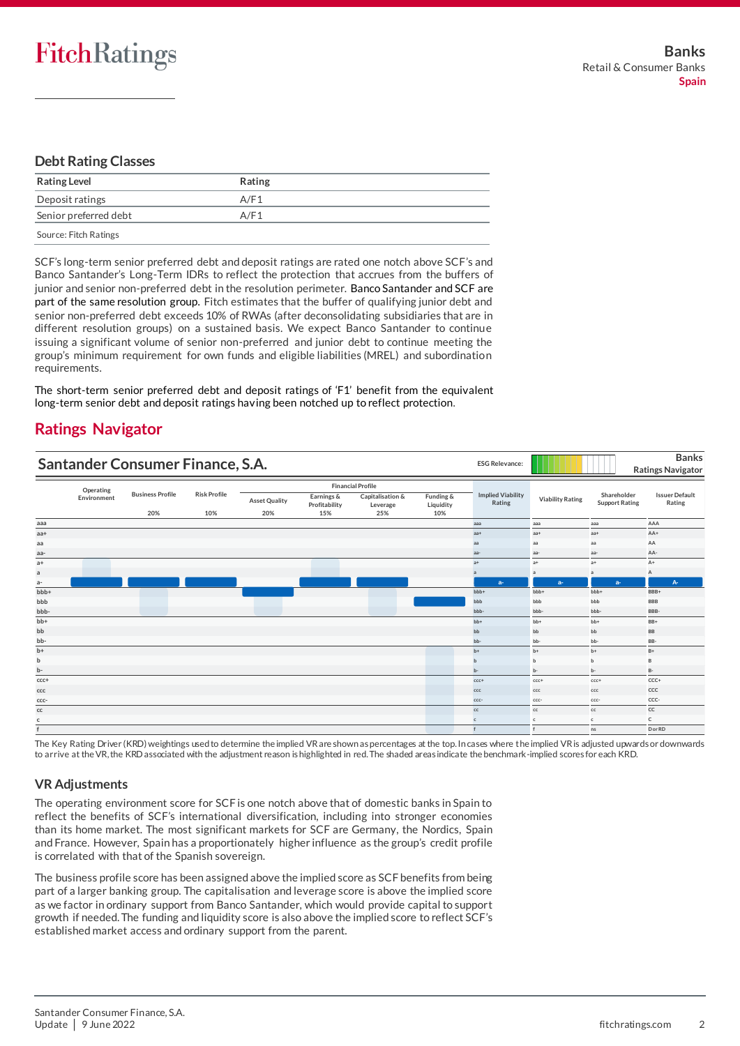### **Debt Rating Classes**

| <b>Rating Level</b>   | Rating |
|-----------------------|--------|
| Deposit ratings       | A/F1   |
| Senior preferred debt | A/F1   |
| Source: Fitch Ratings |        |

SCF's long-term senior preferred debt and deposit ratings are rated one notch above SCF's and Banco Santander's Long-Term IDRs to reflect the protection that accrues from the buffers of junior and senior non-preferred debt in the resolution perimeter. Banco Santander and SCF are part of the same resolution group. Fitch estimates that the buffer of qualifying junior debt and senior non-preferred debt exceeds 10% of RWAs (after deconsolidating subsidiaries that are in different resolution groups) on a sustained basis. We expect Banco Santander to continue issuing a significant volume of senior non-preferred and junior debt to continue meeting the group's minimum requirement for own funds and eligible liabilities (MREL) and subordination requirements.

The short-term senior preferred debt and deposit ratings of 'F1' benefit from the equivalent long-term senior debt and deposit ratings having been notched up to reflect protection.

# **Ratings Navigator**

| Santander Consumer Finance, S.A. |             |                         |                     |                      |                             | <b>ESG Relevance:</b>        |                        | <b>Banks</b><br><b>Ratings Navigator</b> |                         |                                      |                                 |  |
|----------------------------------|-------------|-------------------------|---------------------|----------------------|-----------------------------|------------------------------|------------------------|------------------------------------------|-------------------------|--------------------------------------|---------------------------------|--|
|                                  | Operating   |                         |                     |                      |                             | <b>Financial Profile</b>     |                        |                                          |                         |                                      |                                 |  |
|                                  | Environment | <b>Business Profile</b> | <b>Risk Profile</b> | <b>Asset Quality</b> | Earnings &<br>Profitability | Capitalisation &<br>Leverage | Funding &<br>Liquidity | <b>Implied Viability</b><br>Rating       | <b>Viability Rating</b> | Shareholder<br><b>Support Rating</b> | <b>Issuer Default</b><br>Rating |  |
|                                  |             | 20%                     | 10%                 | 20%                  | 15%                         | 25%                          | 10%                    |                                          |                         |                                      |                                 |  |
| aaa                              |             |                         |                     |                      |                             |                              |                        | aaa                                      | aaa                     | aaa                                  | AAA                             |  |
| $aa+$                            |             |                         |                     |                      |                             |                              |                        | $aa+$                                    | $aa+$                   | $aa+$                                | AA+                             |  |
| aa                               |             |                         |                     |                      |                             |                              |                        | aa                                       | aa                      | aa                                   | AA                              |  |
| aa-                              |             |                         |                     |                      |                             |                              |                        | aa-                                      | aa-                     | aa-                                  | AA-                             |  |
| $a+$                             |             |                         |                     |                      |                             |                              |                        | $a+$                                     | $a+$                    | $a+$                                 | $A+$                            |  |
| a                                |             |                         |                     |                      |                             |                              |                        | $\overline{a}$                           | $\mathsf{a}$            | a                                    | А                               |  |
| $a-$                             |             |                         |                     |                      |                             |                              |                        | $a-$                                     | $a-$                    | $a-$                                 | A <sub>r</sub>                  |  |
| bbb+                             |             |                         |                     |                      |                             |                              |                        | bbb+                                     | bbb+                    | bbb+                                 | BBB+                            |  |
| bbb                              |             |                         |                     |                      |                             |                              |                        | bbb                                      | bbb                     | bbb                                  | <b>BBB</b>                      |  |
| bbb-                             |             |                         |                     |                      |                             |                              |                        | bbb-                                     | bbb-                    | bbb-                                 | BBB-                            |  |
| bb+                              |             |                         |                     |                      |                             |                              |                        | $bb+$                                    | $bb+$                   | bb+                                  | $BB+$                           |  |
| bb                               |             |                         |                     |                      |                             |                              |                        | bb                                       | bb                      | bb                                   | BB                              |  |
| bb-                              |             |                         |                     |                      |                             |                              |                        | bb-                                      | bb-                     | bb-                                  | BB-                             |  |
| $b+$                             |             |                         |                     |                      |                             |                              |                        | $b+$                                     | $b+$                    | $b+$                                 | $B+$                            |  |
| b                                |             |                         |                     |                      |                             |                              |                        |                                          | $\mathbf{h}$            | b                                    | B                               |  |
| b-                               |             |                         |                     |                      |                             |                              |                        | b-                                       | $b -$                   | b-                                   | $B -$                           |  |
| $ccc +$                          |             |                         |                     |                      |                             |                              |                        | $ccc+$                                   | $ccc+$                  | $ccc +$                              | $CCC+$                          |  |
| ccc                              |             |                         |                     |                      |                             |                              |                        | ccc                                      | ccc                     | ccc                                  | CCC                             |  |
| CCC-                             |             |                         |                     |                      |                             |                              |                        | ccc-                                     | ccc-                    | ccc-                                 | CCC-                            |  |
| cc                               |             |                         |                     |                      |                             |                              |                        | cc                                       | cc                      | cc                                   | cc                              |  |
| c                                |             |                         |                     |                      |                             |                              |                        | c.                                       | $\mathbf{c}$            | $\mathsf{c}$                         | $\mathsf{C}$                    |  |
| f                                |             |                         |                     |                      |                             |                              |                        |                                          | f                       | ns                                   | D or RD                         |  |

The Key Rating Driver (KRD) weightings used to determine the implied VR are shown as percentages at the top. In cases where the implied VR is adjusted upwards or downwards to arrive at the VR, the KRD associated with the adjustment reason is highlighted in red. The shaded areas indicate the benchmark-implied scores for each KRD.

### **VR Adjustments**

The operating environment score for SCF is one notch above that of domestic banks in Spain to reflect the benefits of SCF's international diversification, including into stronger economies than its home market. The most significant markets for SCF are Germany, the Nordics, Spain and France. However, Spain has a proportionately higher influence as the group's credit profile is correlated with that of the Spanish sovereign.

The business profile score has been assigned above the implied score as SCF benefits from being part of a larger banking group. The capitalisation and leverage score is above the implied score as we factor in ordinary support from Banco Santander, which would provide capital to support growth if needed. The funding and liquidity score is also above the implied score to reflect SCF's established market access and ordinary support from the parent.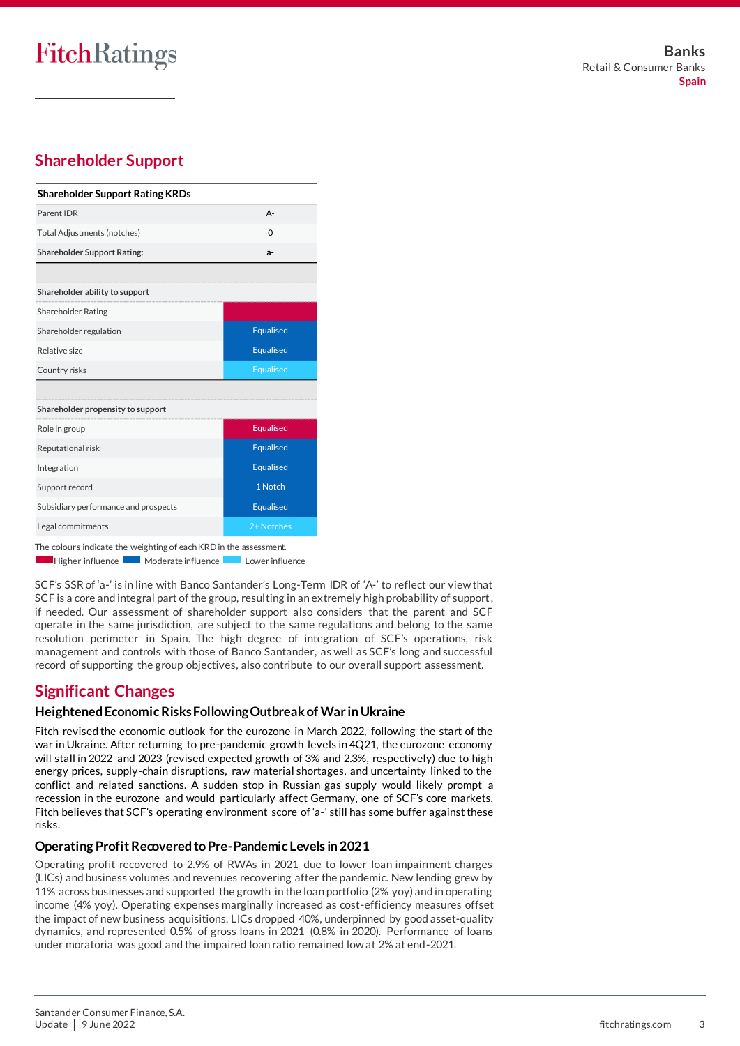# **FitchRatings**

# **Shareholder Support**

| <b>Shareholder Support Rating KRDs</b> |                  |
|----------------------------------------|------------------|
| Parent IDR                             | $A -$            |
| <b>Total Adjustments (notches)</b>     | $\Omega$         |
| <b>Shareholder Support Rating:</b>     | a-               |
|                                        |                  |
| Shareholder ability to support         |                  |
| <b>Shareholder Rating</b>              |                  |
| Shareholder regulation                 | Equalised        |
| Relative size                          | Equalised        |
| Country risks                          | Equalised        |
|                                        |                  |
| Shareholder propensity to support      |                  |
| Role in group                          | <b>Equalised</b> |
| Reputational risk                      | <b>Equalised</b> |
| Integration                            | <b>Equalised</b> |
| Support record                         | 1 Notch          |
| Subsidiary performance and prospects   | <b>Equalised</b> |
| Legal commitments                      | 2+ Notches       |

The colours indicate the weighting of each KRD in the assessment.

Higher influence Moderate influence Lower influence

SCF's SSR of 'a-' is in line with Banco Santander's Long-Term IDR of 'A-' to reflect our view that SCF is a core and integral part of the group, resulting in an extremely high probability of support, if needed. Our assessment of shareholder support also considers that the parent and SCF operate in the same jurisdiction, are subject to the same regulations and belong to the same resolution perimeter in Spain. The high degree of integration of SCF's operations, risk management and controls with those of Banco Santander, as well as SCF's long and successful record of supporting the group objectives, also contribute to our overall support assessment.

# **Significant Changes**

### **Heightened Economic Risks Following Outbreak of War in Ukraine**

Fitch revised the economic outlook for the eurozone in March 2022, following the start of the war in Ukraine. After returning to pre-pandemic growth levels in 4Q21, the eurozone economy will stall in 2022 and 2023 (revised expected growth of 3% and 2.3%, respectively) due to high energy prices, supply-chain disruptions, raw material shortages, and uncertainty linked to the conflict and related sanctions. A sudden stop in Russian gas supply would likely prompt a recession in the eurozone and would particularly affect Germany, one of SCF's core markets. Fitch believes that SCF's operating environment score of 'a-' still has some buffer against these risks.

### **Operating Profit Recovered to Pre-Pandemic Levels in 2021**

Operating profit recovered to 2.9% of RWAs in 2021 due to lower loan impairment charges (LICs) and business volumes and revenues recovering after the pandemic. New lending grew by 11% across businesses and supported the growth in the loan portfolio (2% yoy) and in operating income (4% yoy). Operating expenses marginally increased as cost-efficiency measures offset the impact of new business acquisitions. LICs dropped 40%, underpinned by good asset-quality dynamics, and represented 0.5% of gross loans in 2021 (0.8% in 2020). Performance of loans under moratoria was good and the impaired loan ratio remained low at 2% at end-2021.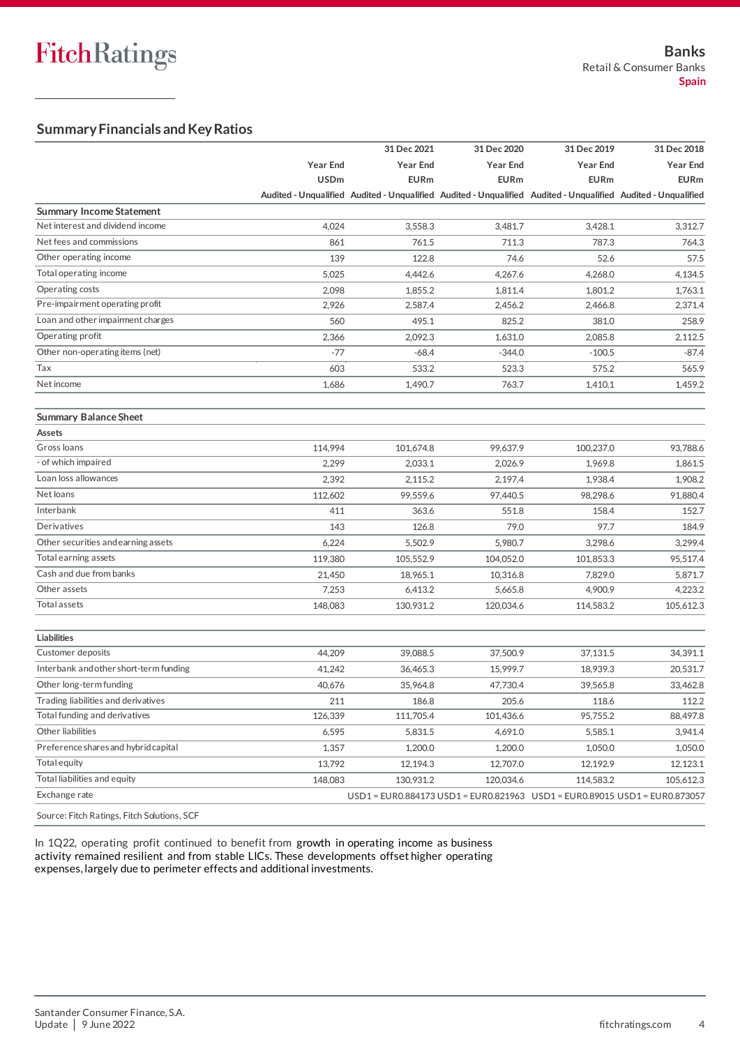### **Summary Financials and Key Ratios**

|                                        |                 | 31 Dec 2021                                                                                                   | 31 Dec 2020                                                                | 31 Dec 2019     | 31 Dec 2018     |
|----------------------------------------|-----------------|---------------------------------------------------------------------------------------------------------------|----------------------------------------------------------------------------|-----------------|-----------------|
|                                        | <b>Year End</b> | <b>Year End</b>                                                                                               | <b>Year End</b>                                                            | <b>Year End</b> | <b>Year End</b> |
|                                        | <b>USDm</b>     | <b>EURm</b>                                                                                                   | <b>EURm</b>                                                                | <b>EURm</b>     | <b>EURm</b>     |
|                                        |                 | Audited - Unqualified Audited - Unqualified Audited - Unqualified Audited - Unqualified Audited - Unqualified |                                                                            |                 |                 |
| <b>Summary Income Statement</b>        |                 |                                                                                                               |                                                                            |                 |                 |
| Net interest and dividend income       | 4,024           | 3,558.3                                                                                                       | 3.481.7                                                                    | 3,428.1         | 3,312.7         |
| Net fees and commissions               | 861             | 761.5                                                                                                         | 711.3                                                                      | 787.3           | 764.3           |
| Other operating income                 | 139             | 122.8                                                                                                         | 74.6                                                                       | 52.6            | 57.5            |
| Total operating income                 | 5,025           | 4,442.6                                                                                                       | 4,267.6                                                                    | 4,268.0         | 4,134.5         |
| Operating costs                        | 2,098           | 1,855.2                                                                                                       | 1,811.4                                                                    | 1.801.2         | 1,763.1         |
| Pre-impairment operating profit        | 2,926           | 2,587.4                                                                                                       | 2,456.2                                                                    | 2,466.8         | 2,371.4         |
| Loan and other impairment charges      | 560             | 495.1                                                                                                         | 825.2                                                                      | 381.0           | 258.9           |
| Operating profit                       | 2,366           | 2,092.3                                                                                                       | 1,631.0                                                                    | 2,085.8         | 2,112.5         |
| Other non-operating items (net)        | $-77$           | $-68.4$                                                                                                       | $-344.0$                                                                   | $-100.5$        | $-87.4$         |
| Tax                                    | 603             | 533.2                                                                                                         | 523.3                                                                      | 575.2           | 565.9           |
| Net income                             | 1,686           | 1,490.7                                                                                                       | 763.7                                                                      | 1,410.1         | 1.459.2         |
| <b>Summary Balance Sheet</b>           |                 |                                                                                                               |                                                                            |                 |                 |
| Assets                                 |                 |                                                                                                               |                                                                            |                 |                 |
| Gross loans                            | 114,994         | 101,674.8                                                                                                     | 99,637.9                                                                   | 100.237.0       | 93,788.6        |
| - of which impaired                    | 2,299           | 2,033.1                                                                                                       | 2,026.9                                                                    | 1,969.8         | 1,861.5         |
| Loan loss allowances                   | 2,392           | 2,115.2                                                                                                       | 2,197.4                                                                    | 1,938.4         | 1,908.2         |
| Net loans                              | 112,602         | 99,559.6                                                                                                      | 97,440.5                                                                   | 98,298.6        | 91,880.4        |
| Interbank                              | 411             | 363.6                                                                                                         | 551.8                                                                      | 158.4           | 152.7           |
| Derivatives                            | 143             | 126.8                                                                                                         | 79.0                                                                       | 97.7            | 184.9           |
| Other securities and earning assets    | 6,224           | 5,502.9                                                                                                       | 5,980.7                                                                    | 3,298.6         | 3,299.4         |
| Total earning assets                   | 119,380         | 105,552.9                                                                                                     | 104,052.0                                                                  | 101,853.3       | 95,517.4        |
| Cash and due from banks                | 21,450          | 18,965.1                                                                                                      | 10,316.8                                                                   | 7,829.0         | 5,871.7         |
| Other assets                           | 7,253           | 6,413.2                                                                                                       | 5,665.8                                                                    | 4,900.9         | 4,223.2         |
| Total assets                           | 148,083         | 130,931.2                                                                                                     | 120,034.6                                                                  | 114,583.2       | 105,612.3       |
| Liabilities                            |                 |                                                                                                               |                                                                            |                 |                 |
| Customer deposits                      | 44,209          | 39,088.5                                                                                                      | 37,500.9                                                                   | 37,131.5        | 34,391.1        |
| Interbank and other short-term funding | 41,242          | 36,465.3                                                                                                      | 15,999.7                                                                   | 18,939.3        | 20,531.7        |
| Other long-term funding                | 40,676          | 35,964.8                                                                                                      | 47,730.4                                                                   | 39,565.8        | 33,462.8        |
| Trading liabilities and derivatives    | 211             | 186.8                                                                                                         | 205.6                                                                      | 118.6           | 112.2           |
| Total funding and derivatives          | 126,339         | 111,705.4                                                                                                     | 101,436.6                                                                  | 95,755.2        | 88,497.8        |
| Other liabilities                      | 6,595           | 5,831.5                                                                                                       | 4,691.0                                                                    | 5,585.1         | 3,941.4         |
| Preference shares and hybrid capital   | 1,357           | 1,200.0                                                                                                       | 1,200.0                                                                    | 1,050.0         | 1,050.0         |
| Total equity                           | 13,792          | 12,194.3                                                                                                      | 12,707.0                                                                   | 12,192.9        | 12,123.1        |
| Total liabilities and equity           | 148,083         | 130,931.2                                                                                                     | 120,034.6                                                                  | 114,583.2       | 105,612.3       |
| Exchange rate                          |                 |                                                                                                               | USD1 = EUR0.884173 USD1 = EUR0.821963 USD1 = EUR0.89015 USD1 = EUR0.873057 |                 |                 |

Source: Fitch Ratings, Fitch Solutions, SCF

In 1Q22, operating profit continued to benefit from growth in operating income as business activity remained resilient and from stable LICs. These developments offset higher operating expenses, largely due to perimeter effects and additional investments.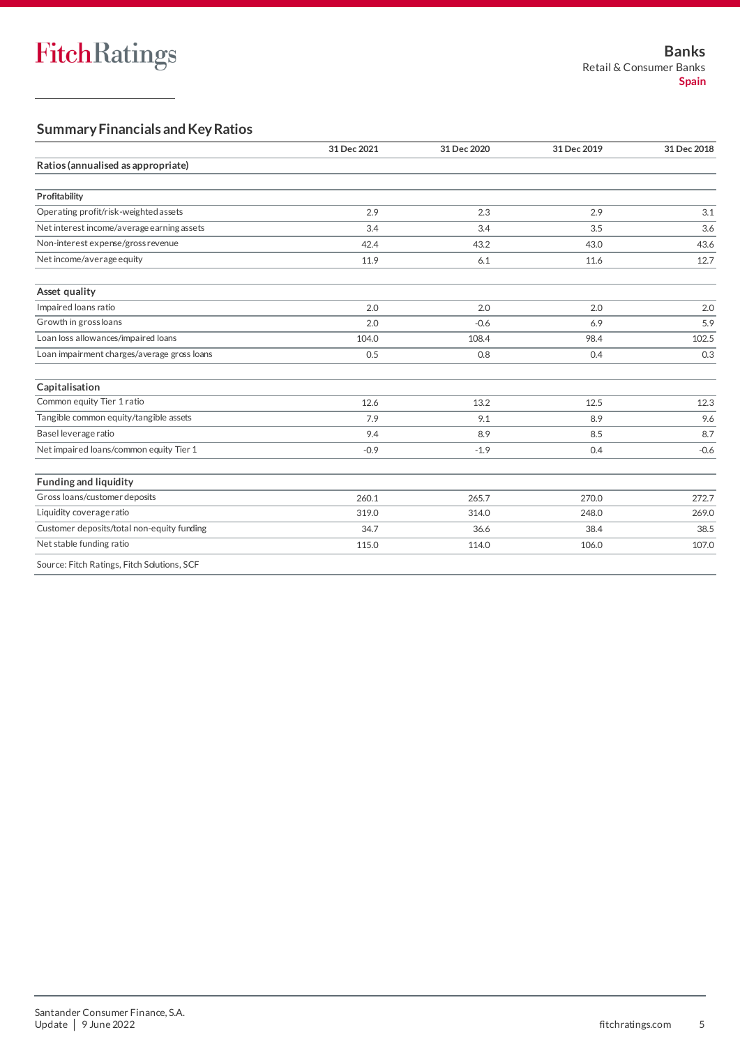### **Summary Financials and Key Ratios**

|                                             | 31 Dec 2021 | 31 Dec 2020 | 31 Dec 2019 | 31 Dec 2018 |  |
|---------------------------------------------|-------------|-------------|-------------|-------------|--|
| Ratios (annualised as appropriate)          |             |             |             |             |  |
|                                             |             |             |             |             |  |
| Profitability                               |             |             |             |             |  |
| Operating profit/risk-weighted assets       | 2.9         | 2.3         | 2.9         | 3.1         |  |
| Net interest income/average earning assets  | 3.4         | 3.4         | 3.5         | 3.6         |  |
| Non-interest expense/gross revenue          | 42.4        | 43.2        | 43.0        | 43.6        |  |
| Net income/average equity                   | 11.9        | 6.1         | 11.6        | 12.7        |  |
| Asset quality                               |             |             |             |             |  |
| Impaired loans ratio                        | 2.0         | 2.0         | 2.0         | 2.0         |  |
| Growth in gross loans                       | 2.0         | $-0.6$      | 6.9         | 5.9         |  |
| Loan loss allowances/impaired loans         | 104.0       | 108.4       | 98.4        | 102.5       |  |
| Loan impairment charges/average gross loans | 0.5         | 0.8         | 0.4         | 0.3         |  |
| Capitalisation                              |             |             |             |             |  |
| Common equity Tier 1 ratio                  | 12.6        | 13.2        | 12.5        | 12.3        |  |
| Tangible common equity/tangible assets      | 7.9         | 9.1         | 8.9         | 9.6         |  |
| Basel leverage ratio                        | 9.4         | 8.9         | 8.5         | 8.7         |  |
| Net impaired loans/common equity Tier 1     | $-0.9$      | $-1.9$      | 0.4         | $-0.6$      |  |
| <b>Funding and liquidity</b>                |             |             |             |             |  |
| Gross loans/customer deposits               | 260.1       | 265.7       | 270.0       | 272.7       |  |
| Liquidity coverage ratio                    | 319.0       | 314.0       | 248.0       | 269.0       |  |
| Customer deposits/total non-equity funding  | 34.7        | 36.6        | 38.4        | 38.5        |  |
| Net stable funding ratio                    | 115.0       | 114.0       | 106.0       | 107.0       |  |
| Connect Field Dealers Field Collection COF  |             |             |             |             |  |

Source: Fitch Ratings, Fitch Solutions, SCF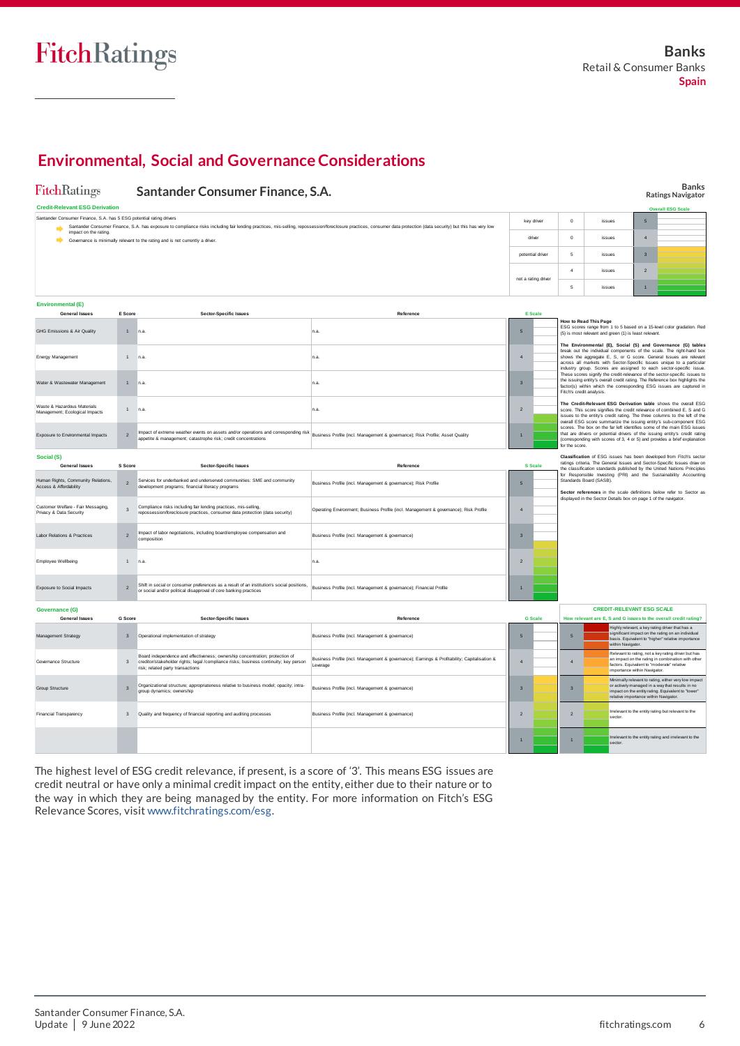# **Environmental, Social and Governance Considerations**

| FitchRatings                                                                                                                                                                                                                                                                               |                         | Santander Consumer Finance, S.A.                                                                                                                                                                                                    |                                                                                                          |                     |                |                                                                                                                                                                                                                                                                                                                            |                                                                                                                                                                                                                                                                                                         |                                                                           |                | <b>Banks</b><br><b>Ratings Navigator</b>                                                                                                                                                                                  |
|--------------------------------------------------------------------------------------------------------------------------------------------------------------------------------------------------------------------------------------------------------------------------------------------|-------------------------|-------------------------------------------------------------------------------------------------------------------------------------------------------------------------------------------------------------------------------------|----------------------------------------------------------------------------------------------------------|---------------------|----------------|----------------------------------------------------------------------------------------------------------------------------------------------------------------------------------------------------------------------------------------------------------------------------------------------------------------------------|---------------------------------------------------------------------------------------------------------------------------------------------------------------------------------------------------------------------------------------------------------------------------------------------------------|---------------------------------------------------------------------------|----------------|---------------------------------------------------------------------------------------------------------------------------------------------------------------------------------------------------------------------------|
| <b>Credit-Relevant ESG Derivation</b>                                                                                                                                                                                                                                                      |                         |                                                                                                                                                                                                                                     |                                                                                                          |                     |                |                                                                                                                                                                                                                                                                                                                            | <b>Overall ESG Scale</b>                                                                                                                                                                                                                                                                                |                                                                           |                |                                                                                                                                                                                                                           |
| Santander Consumer Finance, S.A. has 5 ESG potential rating drivers<br>Santander Consumer Finance, S.A. has exposure to compliance risks including fair lending practices, mis-selling, repossession/foreclosure practices, consumer data protection (data security) but this has very low | key driver              |                                                                                                                                                                                                                                     | $\Omega$                                                                                                 | issues              |                | $\overline{5}$                                                                                                                                                                                                                                                                                                             |                                                                                                                                                                                                                                                                                                         |                                                                           |                |                                                                                                                                                                                                                           |
| impact on the rating.<br>Governance is minimally relevant to the rating and is not currently a driver.                                                                                                                                                                                     | driver                  |                                                                                                                                                                                                                                     | $\circ$                                                                                                  | issues              |                | $\overline{4}$                                                                                                                                                                                                                                                                                                             |                                                                                                                                                                                                                                                                                                         |                                                                           |                |                                                                                                                                                                                                                           |
|                                                                                                                                                                                                                                                                                            |                         |                                                                                                                                                                                                                                     |                                                                                                          |                     |                |                                                                                                                                                                                                                                                                                                                            | issues                                                                                                                                                                                                                                                                                                  |                                                                           | $\overline{3}$ |                                                                                                                                                                                                                           |
|                                                                                                                                                                                                                                                                                            |                         |                                                                                                                                                                                                                                     |                                                                                                          | not a rating driver |                | $\overline{a}$                                                                                                                                                                                                                                                                                                             | anuszi                                                                                                                                                                                                                                                                                                  |                                                                           | $\overline{2}$ |                                                                                                                                                                                                                           |
|                                                                                                                                                                                                                                                                                            |                         |                                                                                                                                                                                                                                     |                                                                                                          |                     |                | 5                                                                                                                                                                                                                                                                                                                          | issues                                                                                                                                                                                                                                                                                                  |                                                                           | $\mathbf{1}$   |                                                                                                                                                                                                                           |
| <b>Environmental (E)</b>                                                                                                                                                                                                                                                                   |                         |                                                                                                                                                                                                                                     |                                                                                                          |                     |                |                                                                                                                                                                                                                                                                                                                            |                                                                                                                                                                                                                                                                                                         |                                                                           |                |                                                                                                                                                                                                                           |
| <b>General Issues</b>                                                                                                                                                                                                                                                                      | E Score                 | <b>Sector-Specific Issues</b>                                                                                                                                                                                                       | Reference                                                                                                |                     | E Scale        |                                                                                                                                                                                                                                                                                                                            |                                                                                                                                                                                                                                                                                                         |                                                                           |                |                                                                                                                                                                                                                           |
| <b>GHG Emissions &amp; Air Quality</b>                                                                                                                                                                                                                                                     | $\overline{1}$          | In.a.                                                                                                                                                                                                                               | n.a.                                                                                                     | 5                   |                |                                                                                                                                                                                                                                                                                                                            | How to Read This Page<br>(5) is most relevant and green (1) is least relevant.                                                                                                                                                                                                                          |                                                                           |                | ESG scores range from 1 to 5 based on a 15-level color gradation. Red                                                                                                                                                     |
| Energy Management                                                                                                                                                                                                                                                                          | 1                       | n.a.                                                                                                                                                                                                                                | n.a.                                                                                                     | 4                   |                | The Environmental (E), Social (S) and Governance (G) tables<br>break out the individual components of the scale. The right-hand box<br>shows the aggregate E, S, or G score. General Issues are relevant<br>across all markets with Sector-Specific Issues unique to a particular                                          |                                                                                                                                                                                                                                                                                                         |                                                                           |                |                                                                                                                                                                                                                           |
| Water & Wastewater Management                                                                                                                                                                                                                                                              | $\mathbf{1}$            | n.a.                                                                                                                                                                                                                                | n.a.                                                                                                     | $\mathbf{a}$        |                |                                                                                                                                                                                                                                                                                                                            | industry group. Scores are assigned to each sector-specific issue.<br>These scores signify the credit-relevance of the sector-specific issues to<br>the issuing entity's overall credit rating. The Reference box highlights the<br>factor(s) within which the corresponding ESG issues are captured in |                                                                           |                |                                                                                                                                                                                                                           |
| Waste & Hazardous Materials<br>Management: Ecological Impacts                                                                                                                                                                                                                              | 1                       | n.a.                                                                                                                                                                                                                                | n.a.                                                                                                     | $\overline{2}$      |                | Fitch's credit analysis.                                                                                                                                                                                                                                                                                                   |                                                                                                                                                                                                                                                                                                         |                                                                           |                | The Credit-Relevant ESG Derivation table shows the overall ESG<br>score. This score signifies the credit relevance of combined E, S and G<br>issues to the entity's credit rating. The three columns to the left of the   |
| Exposure to Environmental Impacts                                                                                                                                                                                                                                                          | $\mathbf{2}$            | Impact of extreme weather events on assets and/or operations and corresponding risk Business Profile (incl. Management & governance); Risk Profile; Asset Quality<br>appetite & management; catastrophe risk; credit concentrations |                                                                                                          | $\overline{1}$      |                | overall ESG score summarize the issuing entity's sub-component ESG<br>scores. The box on the far left identifies some of the main ESG issues<br>that are drivers or potential drivers of the issuing entity's credit rating<br>(corresponding with scores of 3, 4 or 5) and provides a brief explanation<br>for the score. |                                                                                                                                                                                                                                                                                                         |                                                                           |                |                                                                                                                                                                                                                           |
| Social (S)<br><b>General Issues</b>                                                                                                                                                                                                                                                        | S Score                 | <b>Sector-Specific Issues</b>                                                                                                                                                                                                       | Reference                                                                                                |                     | <b>S</b> Scale |                                                                                                                                                                                                                                                                                                                            |                                                                                                                                                                                                                                                                                                         |                                                                           |                | Classification of ESG issues has been developed from Fitch's sector<br>ratings criteria. The General Issues and Sector-Specific Issues draw on<br>the classification standards published by the United Nations Principles |
| Human Rights, Community Relations,<br>Access & Affordability                                                                                                                                                                                                                               | $\overline{2}$          | Services for underbanked and underserved communities: SME and community<br>development programs; financial literacy programs                                                                                                        | Business Profile (incl. Management & governance): Risk Profile                                           | 5                   |                | for Responsible Investing (PRI) and the Sustainability Accounting<br>Standards Board (SASB).<br>Sector references in the scale definitions below refer to Sector as<br>displayed in the Sector Details box on page 1 of the navigator.                                                                                     |                                                                                                                                                                                                                                                                                                         |                                                                           |                |                                                                                                                                                                                                                           |
| Customer Welfare - Fair Messaging,<br>Privacy & Data Security                                                                                                                                                                                                                              | $\overline{3}$          | Compliance risks including fair lending practices, mis-selling,<br>repossession/foreclosure practices, consumer data protection (data security)                                                                                     | Operating Environment; Business Profile (incl. Management & governance); Risk Profile                    | 4                   |                |                                                                                                                                                                                                                                                                                                                            |                                                                                                                                                                                                                                                                                                         |                                                                           |                |                                                                                                                                                                                                                           |
| <b>Labor Relations &amp; Practices</b>                                                                                                                                                                                                                                                     | $\mathbf{2}$            | Impact of labor negotiations, including board/employee compensation and<br>composition                                                                                                                                              | Business Profile (incl. Management & governance)                                                         | $\overline{3}$      |                |                                                                                                                                                                                                                                                                                                                            |                                                                                                                                                                                                                                                                                                         |                                                                           |                |                                                                                                                                                                                                                           |
| Employee Wellbeing                                                                                                                                                                                                                                                                         | 1                       | n.a.                                                                                                                                                                                                                                | n.a.                                                                                                     | $\overline{2}$      |                |                                                                                                                                                                                                                                                                                                                            |                                                                                                                                                                                                                                                                                                         |                                                                           |                |                                                                                                                                                                                                                           |
| Exposure to Social Impacts                                                                                                                                                                                                                                                                 | $\overline{2}$          | Shift in social or consumer preferences as a result of an institution's social positions,<br>or social and/or political disapproval of core banking practices                                                                       | Business Profile (incl. Management & governance); Financial Profile                                      | $\overline{1}$      |                |                                                                                                                                                                                                                                                                                                                            |                                                                                                                                                                                                                                                                                                         |                                                                           |                |                                                                                                                                                                                                                           |
| <b>Governance (G)</b><br><b>General Issues</b>                                                                                                                                                                                                                                             | G Score                 | Sector-Specific Issues                                                                                                                                                                                                              | Reference                                                                                                |                     | <b>G Scale</b> |                                                                                                                                                                                                                                                                                                                            |                                                                                                                                                                                                                                                                                                         | <b>CREDIT-RELEVANT ESG SCALE</b>                                          |                | How relevant are E. S and G issues to the overall credit rating?                                                                                                                                                          |
|                                                                                                                                                                                                                                                                                            |                         |                                                                                                                                                                                                                                     |                                                                                                          |                     |                |                                                                                                                                                                                                                                                                                                                            |                                                                                                                                                                                                                                                                                                         |                                                                           |                | Highly relevant, a key rating driver that has a                                                                                                                                                                           |
| Management Strategy                                                                                                                                                                                                                                                                        | $\mathsf 3$             | Operational implementation of strategy                                                                                                                                                                                              | Business Profile (incl. Management & governance)                                                         | 5                   |                | 5                                                                                                                                                                                                                                                                                                                          |                                                                                                                                                                                                                                                                                                         | within Navigator.                                                         |                | significant impact on the rating on an individual<br>basis. Equivalent to "higher" relative importance                                                                                                                    |
| Governance Structure                                                                                                                                                                                                                                                                       | $\overline{\mathbf{3}}$ | Board independence and effectiveness: ownership concentration: protection of<br>creditor/stakeholder rights; legal /compliance risks; business continuity; key person<br>risk; related party transactions                           | Business Profile (incl. Management & governance); Earnings & Profitability; Capitalisation &<br>Leverage | $\overline{4}$      |                | $\overline{A}$                                                                                                                                                                                                                                                                                                             |                                                                                                                                                                                                                                                                                                         | factors. Equivalent to "moderate" relative<br>importance within Navigator |                | Relevant to rating, not a key rating driver but has<br>an impact on the rating in combination with other                                                                                                                  |
| <b>Group Structure</b>                                                                                                                                                                                                                                                                     | $\overline{\mathbf{3}}$ | Organizational structure; appropriateness relative to business model; opacity; intra-<br>group dynamics; ownership                                                                                                                  | Business Profile (incl. Management & governance)                                                         | $\overline{3}$      |                | $\overline{3}$                                                                                                                                                                                                                                                                                                             |                                                                                                                                                                                                                                                                                                         | relative importance within Navigator                                      |                | Minimally relevant to rating, either very low impact<br>or actively managed in a way that results in no<br>impact on the entity rating. Equivalent to "lower"                                                             |
| Financial Transparency                                                                                                                                                                                                                                                                     |                         | 3 Quality and frequency of financial reporting and auditing processes                                                                                                                                                               | Business Profile (incl. Management & governance)                                                         | $\overline{2}$      |                | $\overline{2}$                                                                                                                                                                                                                                                                                                             |                                                                                                                                                                                                                                                                                                         | sector.                                                                   |                | Irrelevant to the entity rating but relevant to the                                                                                                                                                                       |
|                                                                                                                                                                                                                                                                                            |                         |                                                                                                                                                                                                                                     |                                                                                                          |                     |                | $\overline{1}$                                                                                                                                                                                                                                                                                                             |                                                                                                                                                                                                                                                                                                         | sector.                                                                   |                | Irrelevant to the entity rating and irrelevant to the                                                                                                                                                                     |

The highest level of ESG credit relevance, if present, is a score of '3'. This means ESG issues are credit neutral or have only a minimal credit impact on the entity, either due to their nature or to the way in which they are being managed by the entity. For more information on Fitch's ESG Relevance Scores, visit [www.fitchratings.com/esg.](https://www.fitchratings.com/esg)